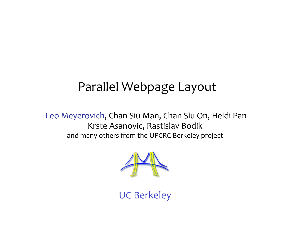## Parallel
Webpage
Layout

Leo
Meyerovich,
Chan
Siu
Man,
Chan
Siu
On,
Heidi
Pan Krste Asanovic,
Rastislav Bodik and
many
others
from
the
UPCRC
Berkeley
project



UC
Berkeley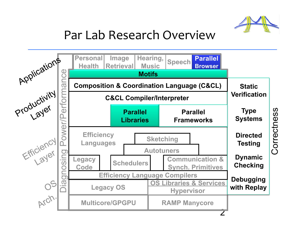

## Par
Lab
Research
Overview

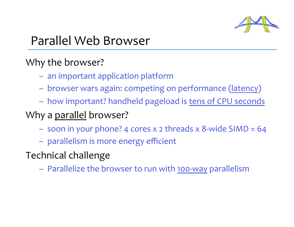

## Parallel
Web
Browser

#### Why
the
browser?

- an
important
application
platform
- browser
wars
again:
competing
on
performance
(latency)
- how
important?
handheld
pageload
is
tens
of
CPU
seconds

#### Why a parallel browser?

- soon
in
your
phone?
4
cores
x
2
threads
x
8‐wide
SIMD
=
64
- parallelism
is
more
energy
efficient
- Technical
challenge
	- Parallelize
	the
	browser
	to
	run
	with
	100‐way
	parallelism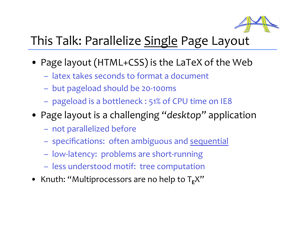

## This Talk: Parallelize Single Page Layout

- Page layout (HTML+CSS) is the LaTeX of the Web
	- latex
	takes
	seconds
	to
	format
	a
	document
	- but
	pageload
	should
	be
	20‐100ms
	- pageload is a bottleneck : 51% of CPU time on IE8
- Page layout is a challenging "*desktop*" application
	- not
	parallelized
	before
	- specifications: often ambiguous and sequential
	- low‐latency:
	
	problems
	are
	short‐running
	- less
	understood
	motif:
	
	tree
	computation
- Knuth: "Multiprocessors are no help to T<sub>F</sub>X"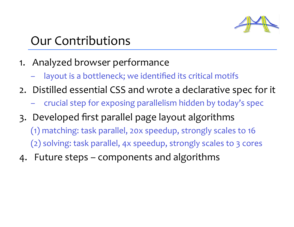

## Our
Contributions

- 1. Analyzed
browser
performance
	- layout is a bottleneck; we identified its critical motifs
- 2. Distilled
essential
CSS
and
wrote
a
declarative
spec
for
it
	- crucial
	step
	for
	exposing
	parallelism
	hidden
	by
	today's
	spec
- 3. Developed
first
parallel
page
layout
algorithms
	- (1)
	matching:
	task
	parallel,
	20x
	speedup,
	strongly
	scales
	to
	16 (2)
	solving:
	task
	parallel,
	4x
	speedup,
	strongly
	scales
	to
	3
	cores
- 4. Future
steps
–
components
and
algorithms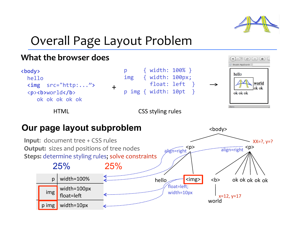

<body>

## Overall
Page
Layout
Problem



#### **Our page layout subproblem**

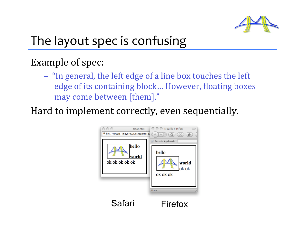

# The
layout
spec
is
confusing

#### Example
of
spec:

– "In
general,
the
left
edge
of
a
line
box
touches
the
left edge of its containing block... However, floating boxes may
come
between
[them]."

Hard
to
implement
correctly,
even
sequentially.

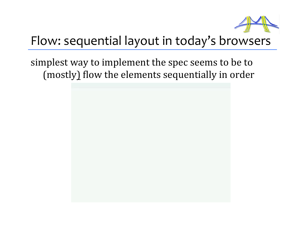

## Flow:
sequential
layout
in
today's
browsers

simplest way to implement the spec seems to be to (mostly) flow the elements sequentially in order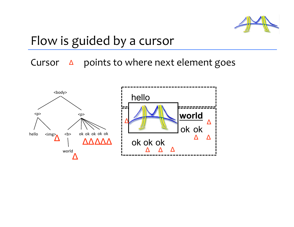

## Flow is guided by a cursor

Cursor  $\Delta$  
points to where next element goes

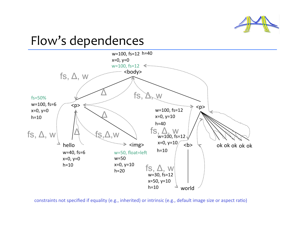

## Flow's
dependences



constraints not specified if equality (e.g., inherited) or intrinsic (e.g., default image size or aspect ratio)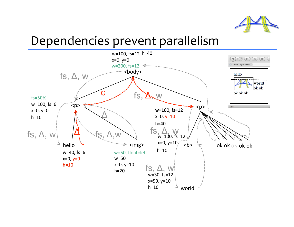

## Dependencies
prevent
parallelism

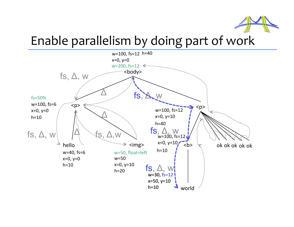

## Enable
parallelism
by
doing
part
of
work

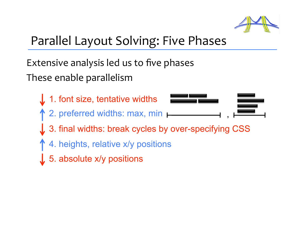

# Parallel
Layout
Solving:
Five
Phases

Extensive
analysis
led
us
to
five
phases These
enable
parallelism

- 1. font size, tentative widths
- 2. preferred widths: max, min  $\vdash$



- 3. final widths: break cycles by over-specifying CSS
- 4. heights, relative x/y positions
- $\int$  5. absolute x/y positions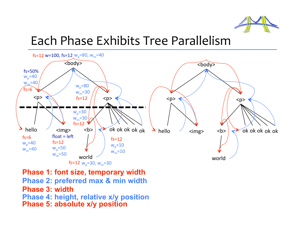

## Each
Phase
Exhibits
Tree
Parallelism



- **Phase 1: font size, temporary width**
- **Phase 2: preferred max & min width**
- **Phase 3: width**
- **Phase 4: height, relative x/y position**
- **Phase 5: absolute x/y position**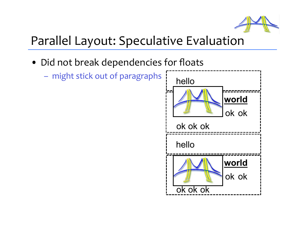

## Parallel
Layout:
Speculative
Evaluation

- Did not break dependencies for floats
	- might
	stick
	out
	of
	paragraphs

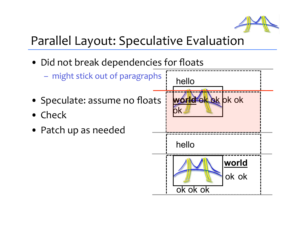

## Parallel
Layout:
Speculative
Evaluation

• Did not break dependencies for floats

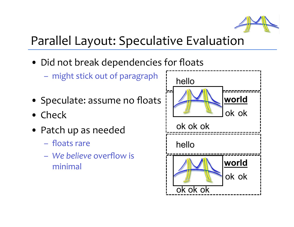

## Parallel
Layout:
Speculative
Evaluation

- Did not break dependencies for floats
	- might
	stick
	out
	of
	paragraph
- Speculate: assume no floats
- Check
- Patch
up
as
needed
	- floats
	rare
	- *We
	believe* overflow
	is

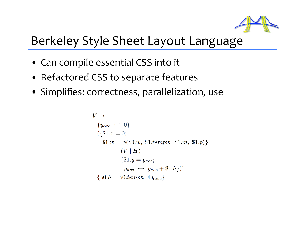

## Berkeley
Style
Sheet
Layout
Language

- Can compile essential CSS into it
- Refactored
CSS
to
separate
features
- Simplifies:
correctness,
parallelization,
use

$$
V \rightarrow
$$
  
\n
$$
\{y_{acc} \leftarrow 0\}
$$
  
\n
$$
(\{\$1.x = 0;
$$
  
\n
$$
\$1.w = \phi(\$0.w, \$1.tempw, \$1.m, \$1.p)\}
$$
  
\n
$$
(V \mid H)
$$
  
\n
$$
\{\$1.y = y_{acc};
$$
  
\n
$$
y_{acc} \leftarrow y_{acc} + \$1.h\}^*
$$
  
\n
$$
\{\$0.h = \$0.temph \bowtie y_{acc}\}
$$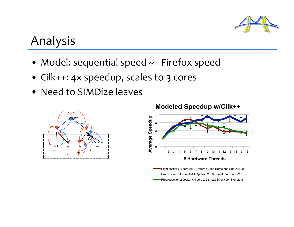

## Analysis

- Model: sequential speed ~= Firefox speed
- Cilk++:
4x
speedup,
scales
to
3
cores
- Need to SIMDize leaves



**Modeled Speedup w/Cilk++** 



Eight socket x 4 core AMD Opteron 2356 Barcelona Sun X4600 Dual socket x 4 core AMD Opteron 2356 Barcelona Sun X2200 Preproduction 2 socket x 4 core x 2 thread Intel Xeon Nehalem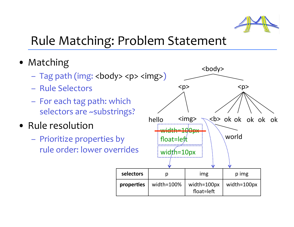

## Rule
Matching:
Problem
Statement

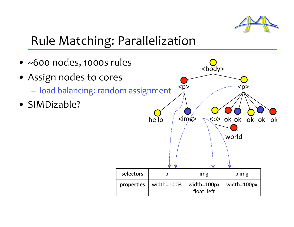

# Rule
Matching:
Parallelization

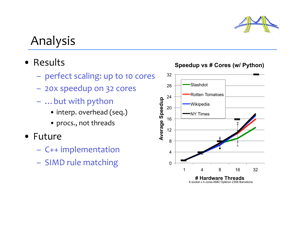

## Analysis

- Results
	- perfect scaling: up to 10 cores
	- 20x
	speedup
	on
	32
	cores
	- …but
	with
	python
		- interp.
		overhead
		(seq.)
		- procs.,
		not
		threads
- Future
	- C++
	implementation
	- SIMD rule matching o



#### **Speedup vs # Cores (w/ Python)**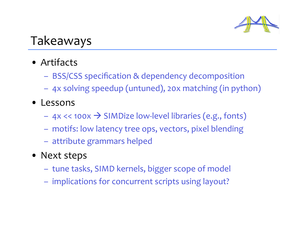

## Takeaways

- Artifacts
	- BSS/CSS
	specification
	&
	dependency
	decomposition
	- 4x
	solving
	speedup
	(untuned),
	20x
	matching
	(in
	python)
- Lessons
	- 4x
	<<
	100x SIMDize
	low‐level
	libraries
	(e.g.,
	fonts)
	- motifs:
	low
	latency
	tree
	ops,
	vectors,
	pixel
	blending
	- attribute
	grammars
	helped
- Next steps
	- tune
	tasks,
	SIMD
	kernels,
	bigger
	scope
	of
	model
	- implications
	for
	concurrent
	scripts
	using
	layout?